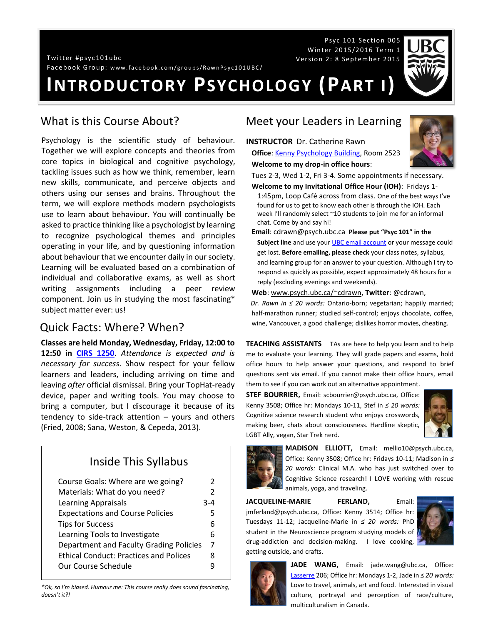Twitt er # p syc 101u bc Ver sio n 2: 8 Se p tem b er 20 15

Facebook Group: www.facebook.com/groups/RawnPsyc101UBC/

# **INTRODUCTORY PSYCHOLOGY (PART I)**

### What is this Course About?

Psychology is the scientific study of behaviour. Together we will explore concepts and theories from core topics in biological and cognitive psychology, tackling issues such as how we think, remember, learn new skills, communicate, and perceive objects and others using our senses and brains. Throughout the term, we will explore methods modern psychologists use to learn about behaviour. You will continually be asked to practice thinking like a psychologist by learning to recognize psychological themes and principles operating in your life, and by questioning information about behaviour that we encounter daily in our society. Learning will be evaluated based on a combination of individual and collaborative exams, as well as short writing assignments including a peer review component. Join us in studying the most fascinating\* subject matter ever: us!

### Quick Facts: Where? When?

**Classes are held Monday, Wednesday, Friday, 12:00 to 12:50 in [CIRS 1250](http://www.maps.ubc.ca/PROD/index_detail.php?locat1=633)**. *Attendance is expected and is necessary for success*. Show respect for your fellow learners and leaders, including arriving on time and leaving *after* official dismissal. Bring your TopHat-ready device, paper and writing tools. You may choose to bring a computer, but I discourage it because of its tendency to side-track attention – yours and others (Fried, 2008; Sana, Weston, & Cepeda, 2013).

### Inside This Syllabus

| Course Goals: Where are we going?             | 2              |
|-----------------------------------------------|----------------|
| Materials: What do you need?                  | $\mathcal{P}$  |
| <b>Learning Appraisals</b>                    | 3-4            |
| <b>Expectations and Course Policies</b>       | 5              |
| <b>Tips for Success</b>                       | 6              |
| Learning Tools to Investigate                 | 6              |
| Department and Faculty Grading Policies       | $\overline{7}$ |
| <b>Ethical Conduct: Practices and Polices</b> | 8              |
| Our Course Schedule                           |                |

*\*Ok, so I'm biased. Humour me: This course really does sound fascinating, doesn't it?!*

### Meet your Leaders in Learning

**INSTRUCTOR** Dr. Catherine Rawn **Office**: [Kenny Psychology Building,](http://www.maps.ubc.ca/PROD/index_detail.php?locat1=732) Room 2523



Tues 2-3, Wed 1-2, Fri 3-4. Some appointments if necessary. **Welcome to my Invitational Office Hour (IOH)**: Fridays 1-

Psyc 101 Section 005 Winter 2015/2016 Term 1

1:45pm, Loop Café across from class. One of the best ways I've found for us to get to know each other is through the IOH. Each week I'll randomly select ~10 students to join me for an informal chat. Come by and say hi!

**Email**: cdrawn@psych.ubc.ca **Please put "Psyc 101" in the Subject line** and use your **UBC** email account or your message could get lost. **Before emailing, please check** your class notes, syllabus, and learning group for an answer to your question. Although I try to respond as quickly as possible, expect approximately 48 hours for a reply (excluding evenings and weekends).

**Web**[: www.psych.ubc.ca/~cdrawn,](http://www.psych.ubc.ca/~cdrawn) **Twitter**: @cdrawn,

*Dr. Rawn in ≤ 20 words:* Ontario-born; vegetarian; happily married; half-marathon runner; studied self-control; enjoys chocolate, coffee, wine, Vancouver, a good challenge; dislikes horror movies, cheating.

**TEACHING ASSISTANTS** TAs are here to help you learn and to help me to evaluate your learning. They will grade papers and exams, hold office hours to help answer your questions, and respond to brief questions sent via email. If you cannot make their office hours, email them to see if you can work out an alternative appointment.

**STEF BOURRIER,** Email: scbourrier@psych.ubc.ca, Office: Kenny 3508; Office hr: Mondays 10-11, Stef in *≤ 20 words:* Cognitive science research student who enjoys crosswords, making beer, chats about consciousness. Hardline skeptic, LGBT Ally, vegan, Star Trek nerd.





**MADISON ELLIOTT,** Email: mellio10@psych.ubc.ca, Office: Kenny 3508; Office hr: Fridays 10-11; Madison in *≤ 20 words:* Clinical M.A. who has just switched over to Cognitive Science research! I LOVE working with rescue animals, yoga, and traveling.

**JACQUELINE-MARIE FERLAND,** Email: jmferland@psych.ubc.ca, Office: Kenny 3514; Office hr: Tuesdays 11-12; Jacqueline-Marie in *≤ 20 words:* PhD student in the Neuroscience program studying models of drug-addiction and decision-making. I love cooking, getting outside, and crafts.





**JADE WANG,** Email: jade.wang@ubc.ca, Office: [Lasserre](http://www.maps.ubc.ca/PROD/index_detail.php?locat1=028) 206; Office hr: Mondays 1-2, Jade in *≤ 20 words:* Love to travel, animals, art and food. Interested in visual culture, portrayal and perception of race/culture, multiculturalism in Canada.



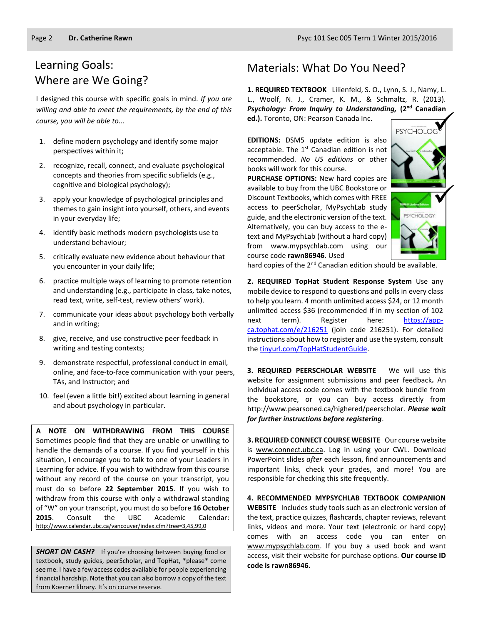### Learning Goals: Where are We Going?

I designed this course with specific goals in mind. *If you are willing and able to meet the requirements, by the end of this course, you will be able to...*

- 1. define modern psychology and identify some major perspectives within it;
- 2. recognize, recall, connect, and evaluate psychological concepts and theories from specific subfields (e.g., cognitive and biological psychology);
- 3. apply your knowledge of psychological principles and themes to gain insight into yourself, others, and events in your everyday life;
- 4. identify basic methods modern psychologists use to understand behaviour;
- 5. critically evaluate new evidence about behaviour that you encounter in your daily life;
- 6. practice multiple ways of learning to promote retention and understanding (e.g., participate in class, take notes, read text, write, self-test, review others' work).
- 7. communicate your ideas about psychology both verbally and in writing;
- 8. give, receive, and use constructive peer feedback in writing and testing contexts;
- 9. demonstrate respectful, professional conduct in email, online, and face-to-face communication with your peers, TAs, and Instructor; and
- 10. feel (even a little bit!) excited about learning in general and about psychology in particular.

**A NOTE ON WITHDRAWING FROM THIS COURSE**  Sometimes people find that they are unable or unwilling to handle the demands of a course. If you find yourself in this situation, I encourage you to talk to one of your Leaders in Learning for advice. If you wish to withdraw from this course without any record of the course on your transcript, you must do so before **22 September 2015**. If you wish to withdraw from this course with only a withdrawal standing of "W" on your transcript, you must do so before **16 October 2015**. Consult the UBC Academic Calendar: <http://www.calendar.ubc.ca/vancouver/index.cfm?tree=3,45,99,0>

**SHORT ON CASH?** If you're choosing between buying food or textbook, study guides, peerScholar, and TopHat, \*please\* come see me. I have a few access codes available for people experiencing financial hardship. Note that you can also borrow a copy of the text from Koerner library. It's on course reserve.

### Materials: What Do You Need?

**1. REQUIRED TEXTBOOK** Lilienfeld, S. O., Lynn, S. J., Namy, L. L., Woolf, N. J., Cramer, K. M., & Schmaltz, R. (2013). *Psychology: From Inquiry to Understanding,* **(2nd Canadian ed.).** Toronto, ON: Pearson Canada Inc.

**EDITIONS:** DSM5 update edition is also acceptable. The  $1<sup>st</sup>$  Canadian edition is not recommended. *No US editions* or other books will work for this course.

**PURCHASE OPTIONS:** New hard copies are available to buy from the UBC Bookstore or Discount Textbooks, which comes with FREE access to peerScholar, MyPsychLab study guide, and the electronic version of the text. Alternatively, you can buy access to the etext and MyPsychLab (without a hard copy) from www.mypsychlab.com using our course code **rawn86946**. Used



hard copies of the 2<sup>nd</sup> Canadian edition should be available.

**2. REQUIRED TopHat Student Response System** Use any mobile device to respond to questions and polls in every class to help you learn. 4 month unlimited access \$24, or 12 month unlimited access \$36 (recommended if in my section of 102 next term). Register here: [https://app](https://app-ca.tophat.com/e/216251)[ca.tophat.com/e/216251](https://app-ca.tophat.com/e/216251) (join code 216251). For detailed instructions about how to register and use the system, consult th[e tinyurl.com/TopHatStudentGuide.](file:///H:/Teaching%20Courses/Current%20101%202015.2016%20Term%201/Syllabus,%20Forms,%20Assignments/tinyurl.com/TopHatStudentGuide)

**3. REQUIRED PEERSCHOLAR WEBSITE** We will use this website for assignment submissions and peer feedback*.* An individual access code comes with the textbook bundle from the bookstore, or you can buy access directly from http://www.pearsoned.ca/highered/peerscholar. *Please wait for further instructions before registering*.

**3. REQUIRED CONNECT COURSE WEBSITE** Our course website is [www.connect.ubc.ca.](http://elearning.ubc.ca/connect/) Log in using your CWL. Download PowerPoint slides *after* each lesson, find announcements and important links, check your grades, and more! You are responsible for checking this site frequently.

**4. RECOMMENDED MYPSYCHLAB TEXTBOOK COMPANION WEBSITE** Includes study tools such as an electronic version of the text, practice quizzes, flashcards, chapter reviews, relevant links, videos and more. Your text (electronic or hard copy) comes with an access code you can enter on [www.mypsychlab.com.](http://www.mypsychlab.com/) If you buy a used book and want access, visit their website for purchase options. **Our course ID code is rawn86946.**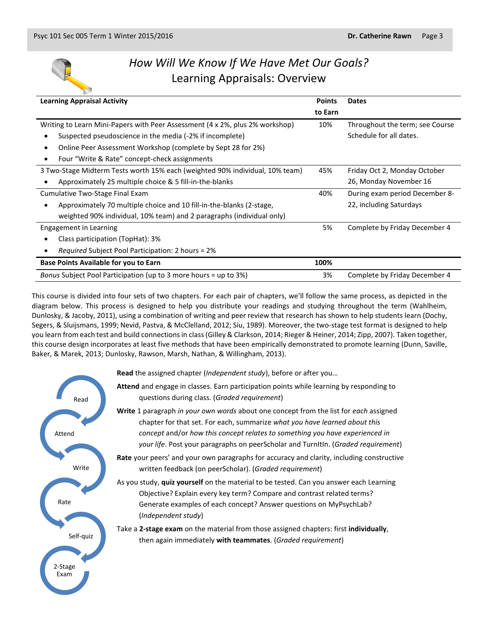

## *How Will We Know If We Have Met Our Goals?* Learning Appraisals: Overview

| <b>Learning Appraisal Activity</b>                                           | <b>Points</b> | <b>Dates</b>                    |
|------------------------------------------------------------------------------|---------------|---------------------------------|
|                                                                              | to Earn       |                                 |
| Writing to Learn Mini-Papers with Peer Assessment (4 x 2%, plus 2% workshop) | 10%           | Throughout the term; see Course |
| Suspected pseudoscience in the media (-2% if incomplete)                     |               | Schedule for all dates.         |
| Online Peer Assessment Workshop (complete by Sept 28 for 2%)                 |               |                                 |
| Four "Write & Rate" concept-check assignments                                |               |                                 |
| 3 Two-Stage Midterm Tests worth 15% each (weighted 90% individual, 10% team) | 45%           | Friday Oct 2, Monday October    |
| Approximately 25 multiple choice & 5 fill-in-the-blanks                      |               | 26, Monday November 16          |
| Cumulative Two-Stage Final Exam                                              | 40%           | During exam period December 8-  |
| Approximately 70 multiple choice and 10 fill-in-the-blanks (2-stage,         |               | 22, including Saturdays         |
| weighted 90% individual, 10% team) and 2 paragraphs (individual only)        |               |                                 |
| <b>Engagement in Learning</b>                                                | 5%            | Complete by Friday December 4   |
| Class participation (TopHat): 3%                                             |               |                                 |
| <i>Required</i> Subject Pool Participation: 2 hours = 2%                     |               |                                 |
| <b>Base Points Available for you to Earn</b>                                 | 100%          |                                 |
| Bonus Subject Pool Participation (up to 3 more hours = up to 3%)             | 3%            | Complete by Friday December 4   |

This course is divided into four sets of two chapters. For each pair of chapters, we'll follow the same process, as depicted in the diagram below. This process is designed to help you distribute your readings and studying throughout the term (Wahlheim, Dunlosky, & Jacoby, 2011), using a combination of writing and peer review that research has shown to help students learn (Dochy, Segers, & Sluijsmans, 1999; Nevid, Pastva, & McClelland, 2012; Siu, 1989). Moreover, the two-stage test format is designed to help you learn from each test and build connections in class (Gilley & Clarkson, 2014; Rieger & Heiner, 2014; Zipp, 2007). Taken together, this course design incorporates at least five methods that have been empirically demonstrated to promote learning (Dunn, Saville, Baker, & Marek, 2013; Dunlosky, Rawson, Marsh, Nathan, & Willingham, 2013).

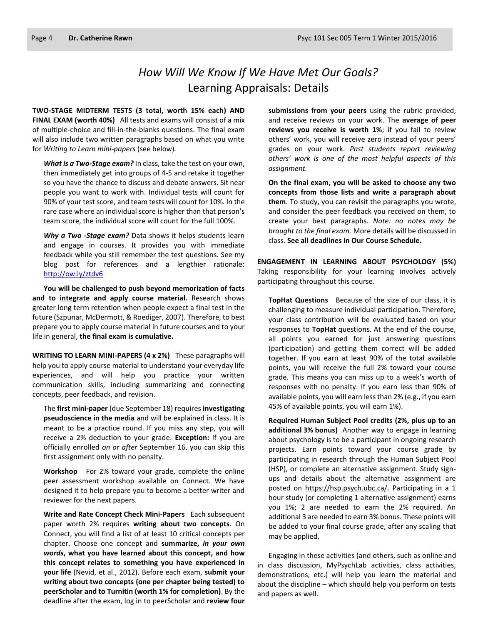## *How Will We Know If We Have Met Our Goals?* Learning Appraisals: Details

**TWO-STAGE MIDTERM TESTS (3 total, worth 15% each) AND FINAL EXAM (worth 40%)** All tests and exams will consist of a mix of multiple-choice and fill-in-the-blanks questions. The final exam will also include two written paragraphs based on what you write for *Writing to Learn mini-papers* (see below)*.*

*What is a Two-Stage exam?* In class, take the test on your own, then immediately get into groups of 4-5 and retake it together so you have the chance to discuss and debate answers. Sit near people you want to work with. Individual tests will count for 90% of your test score, and team tests will count for 10%. In the rare case where an individual score is higher than that person's team score, the individual score will count for the full 100%.

*Why a Two -Stage exam?* Data shows it helps students learn and engage in courses. It provides you with immediate feedback while you still remember the test questions. See my blog post for references and a lengthier rationale: <http://ow.ly/ztdv6>

**You will be challenged to push beyond memorization of facts and to integrate and apply course material.** Research shows greater long term retention when people expect a final test in the future (Szpunar, McDermott, & Roediger, 2007). Therefore, to best prepare you to apply course material in future courses and to your life in general, **the final exam is cumulative.**

**WRITING TO LEARN MINI-PAPERS (4 x 2%)** These paragraphs will help you to apply course material to understand your everyday life experiences, and will help you practice your written communication skills, including summarizing and connecting concepts, peer feedback, and revision.

The **first mini-paper** (due September 18) requires **investigating pseudoscience in the media** and will be explained in class. It is meant to be a practice round. If you miss any step, you will receive a 2% deduction to your grade. **Exception:** If you are officially enrolled *on or after* September 16, you can skip this first assignment only with no penalty.

**Workshop** For 2% toward your grade, complete the online peer assessment workshop available on Connect. We have designed it to help prepare you to become a better writer and reviewer for the next papers.

**Write and Rate Concept Check Mini-Papers** Each subsequent paper worth 2% requires **writing about two concepts**. On Connect, you will find a list of at least 10 critical concepts per chapter. Choose one concept and **summarize,** *in your own words***, what you have learned about this concept, and how this concept relates to something you have experienced in your life** (Nevid, et al., 2012). Before each exam, **submit your writing about two concepts (one per chapter being tested) to peerScholar and to Turnitin (worth 1% for completion)**. By the deadline after the exam, log in to peerScholar and **review four**  **submissions from your peers** using the rubric provided, and receive reviews on your work. The **average of peer reviews you receive is worth 1%**; if you fail to review others' work, you will receive zero instead of your peers' grades on your work. *Past students report reviewing others' work is one of the most helpful aspects of this assignment.*

**On the final exam, you will be asked to choose any two concepts from those lists and write a paragraph about them**. To study, you can revisit the paragraphs you wrote, and consider the peer feedback you received on them, to create your best paragraphs. *Note: no notes may be brought to the final exam.* More details will be discussed in class. **See all deadlines in Our Course Schedule.**

**ENGAGEMENT IN LEARNING ABOUT PSYCHOLOGY (5%)** Taking responsibility for your learning involves actively participating throughout this course.

**TopHat Questions** Because of the size of our class, it is challenging to measure individual participation. Therefore, your class contribution will be evaluated based on your responses to **TopHat** questions. At the end of the course, all points you earned for just answering questions (participation) and getting them correct will be added together. If you earn at least 90% of the total available points, you will receive the full 2% toward your course grade. This means you can miss up to a week's worth of responses with no penalty. If you earn less than 90% of available points, you will earn less than 2% (e.g., if you earn 45% of available points, you will earn 1%).

**Required Human Subject Pool credits (2%, plus up to an additional 3% bonus)** Another way to engage in learning about psychology is to be a participant in ongoing research projects. Earn points toward your course grade by participating in research through the Human Subject Pool (HSP), or complete an alternative assignment. Study signups and details about the alternative assignment are posted on [https://hsp.psych.ubc.ca/.](https://hsp.psych.ubc.ca/) Participating in a 1 hour study (or completing 1 alternative assignment) earns you 1%; 2 are needed to earn the 2% required. An additional 3 are needed to earn 3% bonus. These points will be added to your final course grade, after any scaling that may be applied.

Engaging in these activities (and others, such as online and in class discussion, MyPsychLab activities, class activities, demonstrations, etc.) will help you learn the material and about the discipline – which should help you perform on tests and papers as well.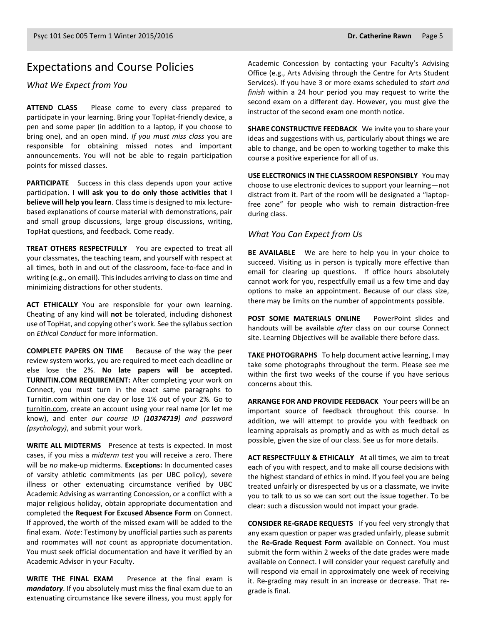### Expectations and Course Policies

*What We Expect from You*

**ATTEND CLASS** Please come to every class prepared to participate in your learning. Bring your TopHat-friendly device, a pen and some paper (in addition to a laptop, if you choose to bring one), and an open mind. *If you must miss class* you are responsible for obtaining missed notes and important announcements. You will not be able to regain participation points for missed classes.

**PARTICIPATE** Success in this class depends upon your active participation. **I will ask you to do only those activities that I believe will help you learn**. Class time is designed to mix lecturebased explanations of course material with demonstrations, pair and small group discussions, large group discussions, writing, TopHat questions, and feedback. Come ready.

**TREAT OTHERS RESPECTFULLY** You are expected to treat all your classmates, the teaching team, and yourself with respect at all times, both in and out of the classroom, face-to-face and in writing (e.g., on email). This includes arriving to class on time and minimizing distractions for other students.

**ACT ETHICALLY** You are responsible for your own learning. Cheating of any kind will **not** be tolerated, including dishonest use of TopHat, and copying other's work. See the syllabus section on *Ethical Conduct* for more information.

**COMPLETE PAPERS ON TIME** Because of the way the peer review system works, you are required to meet each deadline or else lose the 2%. **No late papers will be accepted. TURNITIN.COM REQUIREMENT:** After completing your work on Connect, you must turn in the exact same paragraphs to Turnitin.com within one day or lose 1% out of your 2%. Go to [turnitin.com,](http://www.turnitin.com/) create an account using your real name (or let me know), and enter *our course ID (10374719) and password (psychology)*, and submit your work.

**WRITE ALL MIDTERMS** Presence at tests is expected. In most cases, if you miss a *midterm test* you will receive a zero. There will be *no* make-up midterms. **Exceptions:** In documented cases of varsity athletic commitments (as per UBC policy), severe illness or other extenuating circumstance verified by UBC Academic Advising as warranting Concession, or a conflict with a major religious holiday, obtain appropriate documentation and completed the **Request For Excused Absence Form** on Connect. If approved, the worth of the missed exam will be added to the final exam. *Note*: Testimony by unofficial parties such as parents and roommates will *not* count as appropriate documentation. You must seek official documentation and have it verified by an Academic Advisor in your Faculty.

**WRITE THE FINAL EXAM** Presence at the final exam is *mandatory*. If you absolutely must miss the final exam due to an extenuating circumstance like severe illness, you must apply for Academic Concession by contacting your Faculty's Advising Office (e.g., Arts Advising through the Centre for Arts Student Services). If you have 3 or more exams scheduled to *start and finish* within a 24 hour period you may request to write the second exam on a different day. However, you must give the instructor of the second exam one month notice.

**SHARE CONSTRUCTIVE FEEDBACK** We invite you to share your ideas and suggestions with us, particularly about things we are able to change, and be open to working together to make this course a positive experience for all of us.

**USE ELECTRONICS IN THE CLASSROOM RESPONSIBLY** You may choose to use electronic devices to support your learning—not distract from it. Part of the room will be designated a "laptopfree zone" for people who wish to remain distraction-free during class.

#### *What You Can Expect from Us*

**BE AVAILABLE** We are here to help you in your choice to succeed. Visiting us in person is typically more effective than email for clearing up questions. If office hours absolutely cannot work for you, respectfully email us a few time and day options to make an appointment. Because of our class size, there may be limits on the number of appointments possible.

**POST SOME MATERIALS ONLINE** PowerPoint slides and handouts will be available *after* class on our course Connect site. Learning Objectives will be available there before class.

**TAKE PHOTOGRAPHS** To help document active learning, I may take some photographs throughout the term. Please see me within the first two weeks of the course if you have serious concerns about this.

**ARRANGE FOR AND PROVIDE FEEDBACK** Your peers will be an important source of feedback throughout this course. In addition, we will attempt to provide you with feedback on learning appraisals as promptly and as with as much detail as possible, given the size of our class. See us for more details.

**ACT RESPECTFULLY & ETHICALLY** At all times, we aim to treat each of you with respect, and to make all course decisions with the highest standard of ethics in mind. If you feel you are being treated unfairly or disrespected by us or a classmate, we invite you to talk to us so we can sort out the issue together. To be clear: such a discussion would not impact your grade.

**CONSIDER RE-GRADE REQUESTS** If you feel very strongly that any exam question or paper was graded unfairly, please submit the **Re-Grade Request Form** available on Connect. You must submit the form within 2 weeks of the date grades were made available on Connect. I will consider your request carefully and will respond via email in approximately one week of receiving it. Re-grading may result in an increase or decrease. That regrade is final.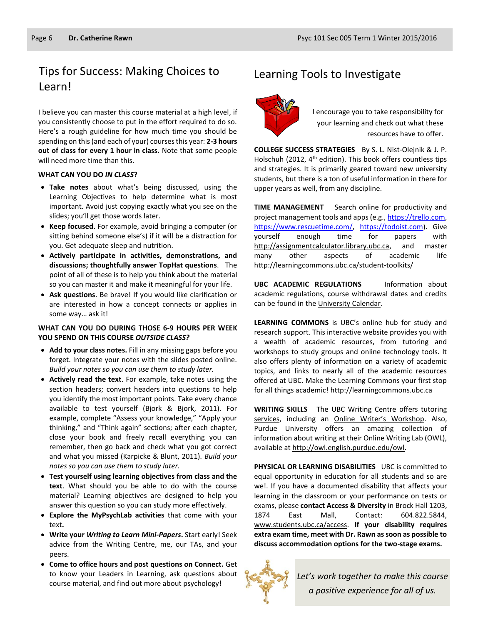### Tips for Success: Making Choices to Learning Tools to Investigate Learn!

I believe you can master this course material at a high level, if you consistently choose to put in the effort required to do so. Here's a rough guideline for how much time you should be spending on this (and each of your) courses this year: **2-3 hours out of class for every 1 hour in class.** Note that some people will need more time than this.

#### **WHAT CAN YOU DO** *IN CLASS***?**

- **Take notes** about what's being discussed, using the Learning Objectives to help determine what is most important. Avoid just copying exactly what you see on the slides; you'll get those words later.
- **Keep focused**. For example, avoid bringing a computer (or sitting behind someone else's) if it will be a distraction for you. Get adequate sleep and nutrition.
- **Actively participate in activities, demonstrations, and discussions; thoughtfully answer TopHat questions**. The point of all of these is to help you think about the material so you can master it and make it meaningful for your life.
- **Ask questions**. Be brave! If you would like clarification or are interested in how a concept connects or applies in some way… ask it!

#### **WHAT CAN YOU DO DURING THOSE 6-9 HOURS PER WEEK YOU SPEND ON THIS COURSE** *OUTSIDE CLASS?*

- **Add to your class notes.** Fill in any missing gaps before you forget. Integrate your notes with the slides posted online. *Build your notes so you can use them to study later.*
- **Actively read the text**. For example, take notes using the section headers; convert headers into questions to help you identify the most important points. Take every chance available to test yourself (Bjork & Bjork, 2011). For example, complete "Assess your knowledge," "Apply your thinking," and "Think again" sections; after each chapter, close your book and freely recall everything you can remember, then go back and check what you got correct and what you missed (Karpicke & Blunt, 2011). *Build your notes so you can use them to study later.*
- **Test yourself using learning objectives from class and the text**. What should you be able to do with the course material? Learning objectives are designed to help you answer this question so you can study more effectively.
- **Explore the MyPsychLab activities** that come with your text**.**
- **Write your** *Writing to Learn Mini-Papers***.** Start early! Seek advice from the Writing Centre, me, our TAs, and your peers.
- **Come to office hours and post questions on Connect.** Get to know your Leaders in Learning, ask questions about course material, and find out more about psychology!



I encourage you to take responsibility for your learning and check out what these resources have to offer.

**COLLEGE SUCCESS STRATEGIES** By S. L. Nist-Olejnik & J. P. Holschuh (2012, 4<sup>th</sup> edition). This book offers countless tips and strategies. It is primarily geared toward new university students, but there is a ton of useful information in there for upper years as well, from any discipline.

**TIME MANAGEMENT** Search online for productivity and project management tools and apps (e.g., https://trello.com, [https://www.rescuetime.com/,](https://www.rescuetime.com/) [https://todoist.com\)](https://todoist.com/). Give yourself enough time for papers with [http://assignmentcalculator.library.ubc.ca,](http://assignmentcalculator.library.ubc.ca/) and master many other aspects of academic life <http://learningcommons.ubc.ca/student-toolkits/>

**UBC ACADEMIC REGULATIONS** Information about academic regulations, course withdrawal dates and credits can be found in th[e University Calendar.](http://students.ubc.ca/calendar/academicyear.cfm)

**LEARNING COMMONS** is UBC's online hub for study and research support. This interactive website provides you with a wealth of academic resources, from tutoring and workshops to study groups and online technology tools. It also offers plenty of information on a variety of academic topics, and links to nearly all of the academic resources offered at UBC. Make the Learning Commons your first stop for all things academic! [http://learningcommons.ubc.ca](http://learningcommons.ubc.ca/)

**WRITING SKILLS** The UBC Writing Centre offers tutoring [services,](http://cstudies.ubc.ca/writing/resources.html) including an [Online Writer's Workshop](http://www.writingcentre.ubc.ca/workshop/index.html). Also, Purdue University offers an amazing collection of information about writing at their Online Writing Lab (OWL), available at [http://owl.english.purdue.edu/owl.](http://owl.english.purdue.edu/owl/)

**PHYSICAL OR LEARNING DISABILITIES** UBC is committed to equal opportunity in education for all students and so are we!. If you have a documented disability that affects your learning in the classroom or your performance on tests or exams, please **contact Access & Diversity** in Brock Hall 1203, 1874 East Mall, Contact: 604.822.5844, [www.students.ubc.ca/access.](http://www.students.ubc.ca/access) **If your disability requires extra exam time, meet with Dr. Rawn as soon as possible to discuss accommodation options for the two-stage exams.**



*Let's work together to make this course a positive experience for all of us.*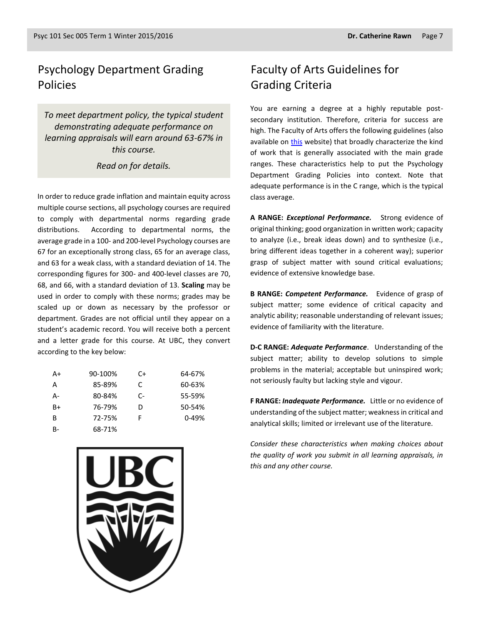### Psychology Department Grading Policies

*To meet department policy, the typical student demonstrating adequate performance on learning appraisals will earn around 63-67% in this course.* 

*Read on for details.*

In order to reduce grade inflation and maintain equity across multiple course sections, all psychology courses are required to comply with departmental norms regarding grade distributions. According to departmental norms, the average grade in a 100- and 200-level Psychology courses are 67 for an exceptionally strong class, 65 for an average class, and 63 for a weak class, with a standard deviation of 14. The corresponding figures for 300- and 400-level classes are 70, 68, and 66, with a standard deviation of 13. **Scaling** may be used in order to comply with these norms; grades may be scaled up or down as necessary by the professor or department. Grades are not official until they appear on a student's academic record. You will receive both a percent and a letter grade for this course. At UBC, they convert according to the key below:

| A+   | 90-100% | C+   | 64-67%    |
|------|---------|------|-----------|
| A    | 85-89%  | C.   | 60-63%    |
| А-   | 80-84%  | $C-$ | 55-59%    |
| $B+$ | 76-79%  | D    | 50-54%    |
| B    | 72-75%  | F    | $0 - 49%$ |
| B-   | 68-71%  |      |           |



### Faculty of Arts Guidelines for Grading Criteria

You are earning a degree at a highly reputable postsecondary institution. Therefore, criteria for success are high. The Faculty of Arts offers the following guidelines (also available on [this](http://legacy.arts.ubc.ca/faculty-amp-staff/resources/courses-and-grading/grading-guidelines.html) website) that broadly characterize the kind of work that is generally associated with the main grade ranges. These characteristics help to put the Psychology Department Grading Policies into context. Note that adequate performance is in the C range, which is the typical class average.

**A RANGE:** *Exceptional Performance.* Strong evidence of original thinking; good organization in written work; capacity to analyze (i.e., break ideas down) and to synthesize (i.e., bring different ideas together in a coherent way); superior grasp of subject matter with sound critical evaluations; evidence of extensive knowledge base.

**B RANGE:** *Competent Performance.* Evidence of grasp of subject matter; some evidence of critical capacity and analytic ability; reasonable understanding of relevant issues; evidence of familiarity with the literature.

**D-C RANGE:** *Adequate Performance*. Understanding of the subject matter; ability to develop solutions to simple problems in the material; acceptable but uninspired work; not seriously faulty but lacking style and vigour.

**F RANGE:** *Inadequate Performance.* Little or no evidence of understanding of the subject matter; weakness in critical and analytical skills; limited or irrelevant use of the literature.

*Consider these characteristics when making choices about the quality of work you submit in all learning appraisals, in this and any other course.*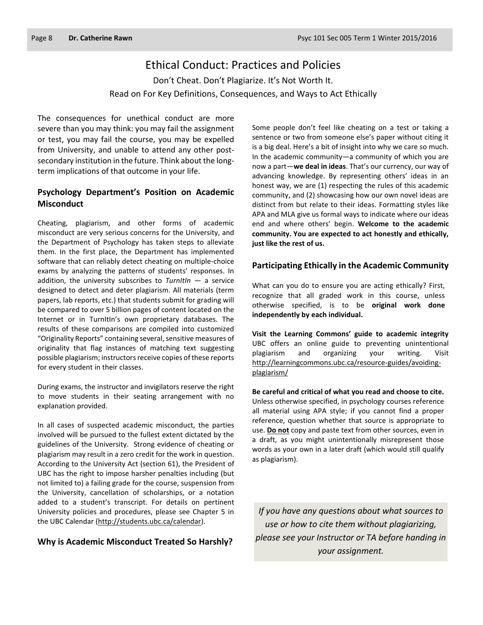### Ethical Conduct: Practices and Policies

Don't Cheat. Don't Plagiarize. It's Not Worth It. Read on For Key Definitions, Consequences, and Ways to Act Ethically

The consequences for unethical conduct are more severe than you may think: you may fail the assignment or test, you may fail the course, you may be expelled from University, and unable to attend any other postsecondary institution in the future. Think about the longterm implications of that outcome in your life.

### **Psychology Department's Position on Academic Misconduct**

Cheating, plagiarism, and other forms of academic misconduct are very serious concerns for the University, and the Department of Psychology has taken steps to alleviate them. In the first place, the Department has implemented software that can reliably detect cheating on multiple-choice exams by analyzing the patterns of students' responses. In addition, the university subscribes to *TurnItIn* — a service designed to detect and deter plagiarism. All materials (term papers, lab reports, etc.) that students submit for grading will be compared to over 5 billion pages of content located on the Internet or in TurnItIn's own proprietary databases. The results of these comparisons are compiled into customized "Originality Reports" containing several, sensitive measures of originality that flag instances of matching text suggesting possible plagiarism; instructors receive copies of these reports for every student in their classes.

During exams, the instructor and invigilators reserve the right to move students in their seating arrangement with no explanation provided.

In all cases of suspected academic misconduct, the parties involved will be pursued to the fullest extent dictated by the guidelines of the University. Strong evidence of cheating or plagiarism may result in a zero credit for the work in question. According to the University Act (section 61), the President of UBC has the right to impose harsher penalties including (but not limited to) a failing grade for the course, suspension from the University, cancellation of scholarships, or a notation added to a student's transcript. For details on pertinent University policies and procedures, please see Chapter 5 in the UBC Calendar [\(http://students.ubc.ca/calendar\)](http://students.ubc.ca/calendar).

### **Why is Academic Misconduct Treated So Harshly?**

Some people don't feel like cheating on a test or taking a sentence or two from someone else's paper without citing it is a big deal. Here's a bit of insight into why we care so much. In the academic community—a community of which you are now a part—**we deal in ideas**. That's our currency, our way of advancing knowledge. By representing others' ideas in an honest way, we are (1) respecting the rules of this academic community, and (2) showcasing how our own novel ideas are distinct from but relate to their ideas. Formatting styles like APA and MLA give us formal ways to indicate where our ideas end and where others' begin. **Welcome to the academic community. You are expected to act honestly and ethically, just like the rest of us.**

### **Participating Ethically in the Academic Community**

What can you do to ensure you are acting ethically? First, recognize that all graded work in this course, unless otherwise specified, is to be **original work done independently by each individual.**

**Visit the Learning Commons' guide to academic integrity**  UBC offers an online guide to preventing unintentional plagiarism and organizing your writing. Visit [http://learningcommons.ubc.ca/resource-guides/avoiding](http://learningcommons.ubc.ca/resource-guides/avoiding-plagiarism/)[plagiarism/](http://learningcommons.ubc.ca/resource-guides/avoiding-plagiarism/)

**Be careful and critical of what you read and choose to cite.** Unless otherwise specified, in psychology courses reference all material using APA style; if you cannot find a proper reference, question whether that source is appropriate to use. **Do not** copy and paste text from other sources, even in a draft, as you might unintentionally misrepresent those words as your own in a later draft (which would still qualify as plagiarism).

*If you have any questions about what sources to use or how to cite them without plagiarizing, please see your Instructor or TA before handing in your assignment.*